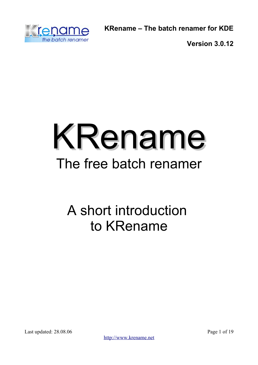

**Version 3.0.12**



# A short introduction to KRename

Last updated: 28.08.06 Page 1 of 19

[http://www.krename.net](http://www.krename.net/)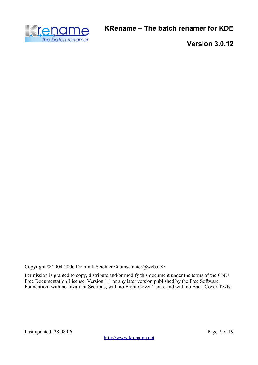

**Version 3.0.12**

Copyright © 2004-2006 Dominik Seichter <domseichter@web.de>

Permission is granted to copy, distribute and/or modify this document under the terms of the GNU Free Documentation License, Version 1.1 or any later version published by the Free Software Foundation; with no Invariant Sections, with no Front-Cover Texts, and with no Back-Cover Texts.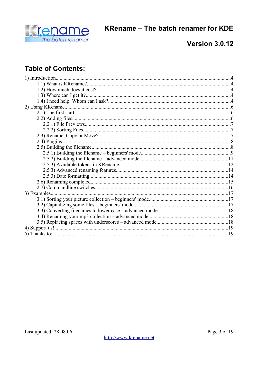

### **Version 3.0.12**

# **Table of Contents:**

| 3) Examples |  |
|-------------|--|
|             |  |
|             |  |
|             |  |
|             |  |
|             |  |
|             |  |
|             |  |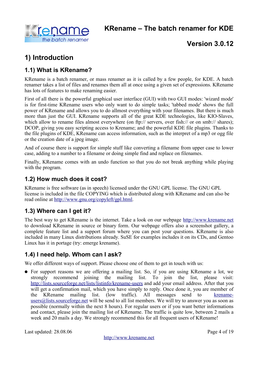

# **1) Introduction**

### **1.1) What is KRename?**

KRename is a batch renamer, or mass renamer as it is called by a few people, for KDE. A batch renamer takes a list of files and renames them all at once using a given set of expressions. KRename has lots of features to make renaming easier.

First of all there is the powerful graphical user interface (GUI) with two GUI modes: 'wizard mode' is for first-time KRename users who only want to do simple tasks; 'tabbed mode' shows the full power of KRename and allows you to do allmost everything with your filenames. But there is much more than just the GUI. KRename supports all of the great KDE technologies, like KIO-Slaves, which allow to rename files almost everywhere (on ftp:// servers, over fish:// or on smb:// shares); DCOP, giving you easy scripting access to Krename; and the powerful KDE file plugins. Thanks to the file plugins of KDE, KRename can access information, such as the interpret of a mp3 or ogg file or the creation date of a jpeg image.

And of course there is support for simple stuff like converting a filename from upper case to lower case, adding to a number to a filename or doing simple find and replace on filenames.

Finally, KRename comes with an undo function so that you do not break anything while playing with the program.

#### **1.2) How much does it cost?**

KRename is free software (as in speech) licensed under the GNU GPL license. The GNU GPL license is included in the file COPYING which is distributed along with KRename and can also be read online at [http://www.gnu.org/copyleft/gpl.html.](http://www.gnu.org/copyleft/gpl.html)

### **1.3) Where can I get it?**

The best way to get KRename is the internet. Take a look on our webpage [http://www.krename.net](http://www.krename.net/) to download KRename in source or binary form. Our webpage offers also a screenshot gallery, a complete feature list and a support forum where you can post your questions. KRename is also included in many Linux distributions already. SuSE for examples includes it on its CDs, and Gentoo Linux has it in portage (try: emerge krename).

### **1.4) I need help. Whom can I ask?**

We offer different ways of support. Please choose one of them to get in touch with us:

● For support reasons we are offering a mailing list. So, if you are using KRename a lot, we strongly recommend joining the mailing list. To join the list, please visit: <http://lists.sourceforge.net/lists/listinfo/krename-users> and add your email address. After that you will get a confirmation mail, which you have simply to reply. Once done it, you are member of the KRename mailing list. (low traffic). All messages send to [krename-](mailto:krename-users@lists.sourceforge.net) $users@lists.sourceforget will be send to all list members. We will try to answer you as soon as$ </u> possible (normally within the next 8 hours). For regular users or if you want better informations and contact, please join the mailing list of KRename. The traffic is quite low, between 2 mails a week and 20 mails a day. We strongly recommend this for all frequent users of KRename!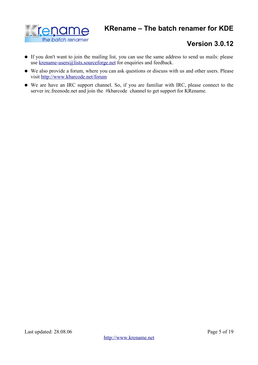

- If you don't want to join the mailing list, you can use the same address to send us mails: please use [krename-users@lists.sourceforge.net](mailto:krename-users@lists.sourceforge.net) for enquiries and feedback.
- We also provide a forum, where you can ask questions or discuss with us and other users. Please visit <http://www.kbarcode.net/forum>
- We are have an IRC support channel. So, if you are familiar with IRC, please connect to the server irc.freenode.net and join the #kbarcode channel to get support for KRename.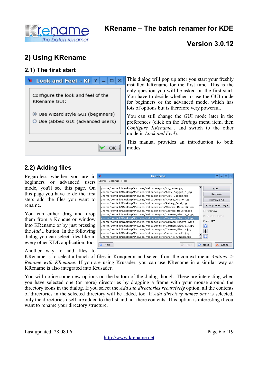

# **2) Using KRename**

#### **2.1) The first start**



This dialog will pop up after you start your freshly installed KRename for the first time. This is the only question you will be asked on the first start. You have to decide whether to use the GUI mode for beginners or the advanced mode, which has lots of options but is therefore very powerful.

You can still change the GUI mode later in the preferences (click on the *Settings* menu item, then *Configure KRename...* and switch to the other mode in *Look and Feel*).

This manual provides an introduction to both modes.

### **2.2) Adding files**

Regardless whether you are in beginners or advanced users mode, you'll see this page. On this page you have to do the first step: add the files you want to rename.

You can either drag and drop them from a Konqueror window into KRename or by just pressing the *Add...* button. In the following dialog you can select files like in every other KDE application, too.

Another way to add files to

| $\mathbf{?}$<br>$\Box$<br>$\mathsf{I}\mathsf{X}$<br>krename<br>Extras Settings Help<br>/home/dominik/Desktop/Pictures/wallpaper-girls/Ali_Larter.jpg<br>Add<br>/home/dominik/Desktop/Pictures/wallpaper-girls/Alley_Baggett_1.jpg<br>Remove<br>/home/dominik/Desktop/Pictures/wallpaper-girls/Alley_Baggett.jpg<br>/home/dominik/Desktop/Pictures/wallpaper-girls/Alyssa_Milano.jpg<br>Remove All<br>/home/dominik/Desktop/Pictures/wallpaper-girls/Ashley_Judd.jpg<br>Sort (Unsorted) $\blacktriangledown$<br>/home/dominik/Desktop/Pictures/wallpaper-girls/Caprice_Bourret2.jpg<br>/home/dominik/Desktop/Pictures/wallpaper-girls/Caprice Bourret.jpg<br>$\Box$ Preview<br>/home/dominik/Desktop/Pictures/wallpaper-girls/Carmen_Electra_1.jpg<br><b>■ Display name</b><br>/home/dominik/Desktop/Pictures/wallpaper-girls/Carmen_Electra_2.jpg<br>Files: 37<br>/home/dominik/Desktop/Pictures/wallpaper-girls/Carmen_Electra_3.jpg<br>/home/dominik/Desktop/Pictures/wallpaper-girls/Carmen_Electra_4.jpg<br>/home/dominik/Desktop/Pictures/wallpaper-girls/Carmen_Electra.jpg<br>4<br>/home/dominik/Desktop/Pictures/wallpaper-girls/catherinebell1.jpg<br>/home/dominik/Desktop/Pictures/wallpaper-girls/Charlie_O'Neale.jpg<br>$\bullet$<br>$\varOmega$<br>G<br>Back<br>×<br>Next<br>Help<br>Cancel |    |  |
|-----------------------------------------------------------------------------------------------------------------------------------------------------------------------------------------------------------------------------------------------------------------------------------------------------------------------------------------------------------------------------------------------------------------------------------------------------------------------------------------------------------------------------------------------------------------------------------------------------------------------------------------------------------------------------------------------------------------------------------------------------------------------------------------------------------------------------------------------------------------------------------------------------------------------------------------------------------------------------------------------------------------------------------------------------------------------------------------------------------------------------------------------------------------------------------------------------------------------------------------------------------------------------------------------------------|----|--|
|                                                                                                                                                                                                                                                                                                                                                                                                                                                                                                                                                                                                                                                                                                                                                                                                                                                                                                                                                                                                                                                                                                                                                                                                                                                                                                           | Ąв |  |
|                                                                                                                                                                                                                                                                                                                                                                                                                                                                                                                                                                                                                                                                                                                                                                                                                                                                                                                                                                                                                                                                                                                                                                                                                                                                                                           |    |  |
|                                                                                                                                                                                                                                                                                                                                                                                                                                                                                                                                                                                                                                                                                                                                                                                                                                                                                                                                                                                                                                                                                                                                                                                                                                                                                                           |    |  |
|                                                                                                                                                                                                                                                                                                                                                                                                                                                                                                                                                                                                                                                                                                                                                                                                                                                                                                                                                                                                                                                                                                                                                                                                                                                                                                           |    |  |
|                                                                                                                                                                                                                                                                                                                                                                                                                                                                                                                                                                                                                                                                                                                                                                                                                                                                                                                                                                                                                                                                                                                                                                                                                                                                                                           |    |  |
|                                                                                                                                                                                                                                                                                                                                                                                                                                                                                                                                                                                                                                                                                                                                                                                                                                                                                                                                                                                                                                                                                                                                                                                                                                                                                                           |    |  |
|                                                                                                                                                                                                                                                                                                                                                                                                                                                                                                                                                                                                                                                                                                                                                                                                                                                                                                                                                                                                                                                                                                                                                                                                                                                                                                           |    |  |
|                                                                                                                                                                                                                                                                                                                                                                                                                                                                                                                                                                                                                                                                                                                                                                                                                                                                                                                                                                                                                                                                                                                                                                                                                                                                                                           |    |  |
|                                                                                                                                                                                                                                                                                                                                                                                                                                                                                                                                                                                                                                                                                                                                                                                                                                                                                                                                                                                                                                                                                                                                                                                                                                                                                                           |    |  |
|                                                                                                                                                                                                                                                                                                                                                                                                                                                                                                                                                                                                                                                                                                                                                                                                                                                                                                                                                                                                                                                                                                                                                                                                                                                                                                           |    |  |
|                                                                                                                                                                                                                                                                                                                                                                                                                                                                                                                                                                                                                                                                                                                                                                                                                                                                                                                                                                                                                                                                                                                                                                                                                                                                                                           |    |  |
|                                                                                                                                                                                                                                                                                                                                                                                                                                                                                                                                                                                                                                                                                                                                                                                                                                                                                                                                                                                                                                                                                                                                                                                                                                                                                                           |    |  |
|                                                                                                                                                                                                                                                                                                                                                                                                                                                                                                                                                                                                                                                                                                                                                                                                                                                                                                                                                                                                                                                                                                                                                                                                                                                                                                           |    |  |
|                                                                                                                                                                                                                                                                                                                                                                                                                                                                                                                                                                                                                                                                                                                                                                                                                                                                                                                                                                                                                                                                                                                                                                                                                                                                                                           |    |  |
|                                                                                                                                                                                                                                                                                                                                                                                                                                                                                                                                                                                                                                                                                                                                                                                                                                                                                                                                                                                                                                                                                                                                                                                                                                                                                                           |    |  |
|                                                                                                                                                                                                                                                                                                                                                                                                                                                                                                                                                                                                                                                                                                                                                                                                                                                                                                                                                                                                                                                                                                                                                                                                                                                                                                           |    |  |
|                                                                                                                                                                                                                                                                                                                                                                                                                                                                                                                                                                                                                                                                                                                                                                                                                                                                                                                                                                                                                                                                                                                                                                                                                                                                                                           |    |  |
|                                                                                                                                                                                                                                                                                                                                                                                                                                                                                                                                                                                                                                                                                                                                                                                                                                                                                                                                                                                                                                                                                                                                                                                                                                                                                                           |    |  |
|                                                                                                                                                                                                                                                                                                                                                                                                                                                                                                                                                                                                                                                                                                                                                                                                                                                                                                                                                                                                                                                                                                                                                                                                                                                                                                           |    |  |

KRename is to select a bunch of files in Konqueror and select from the context menu *Actions* -> *Rename with KRename*. If you are using Krusader, you can use KRename in a similar way as KRename is also integrated into Krusader.

You will notice some new options on the bottom of the dialog though. These are interesting when you have selected one (or more) directories by dragging a frame with your mouse around the directory icons in the dialog. If you select the *Add sub directories recursively* option, all the contents of directories in the selected directory will be added, too. If *Add directory names only* is selected, only the directories itself are added to the list and not there contents. This option is interesting if you want to rename your directory structure.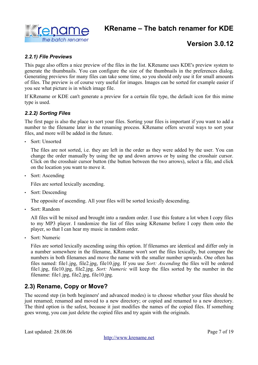

#### *2.2.1) File Previews*

This page also offers a nice preview of the files in the list. KRename uses KDE's preview system to generate the thumbnails. You can configure the size of the thumbnails in the preferences dialog. Generating previews for many files can take some time, so you should only use it for small amounts of files. The preview is of course very useful for images. Images can be sorted for example easier if you see what picture is in which image file.

If KRename or KDE can't generate a preview for a certain file type, the default icon for this mime type is used.

#### *2.2.2) Sorting Files*

The first page is also the place to sort your files. Sorting your files is important if you want to add a number to the filename later in the renaming process. KRename offers several ways to sort your files, and more will be added in the future.

• Sort: Unsorted

The files are not sorted, i.e. they are left in the order as they were added by the user. You can change the order manually by using the up and down arrows or by using the crosshair cursor. Click on the crosshair cursor button (the button between the two arrows), select a file, and click on the location you want to move it.

• Sort: Ascending

Files are sorted lexically ascending.

• Sort: Descending

The opposite of ascending. All your files will be sorted lexically descending.

• Sort: Random

All files will be mixed and brought into a random order. I use this feature a lot when I copy files to my MP3 player. I randomize the list of files using KRename before I copy them onto the player, so that I can hear my music in random order.

• Sort: Numeric

Files are sorted lexically ascending using this option. If filenames are identical and differ only in a number somewhere in the filename, KRename won't sort the files lexically, but compare the numbers in both filenames and move the name with the smaller number upwards. One often has files named: file1.jpg, file2.jpg, file10.jpg. If you use *Sort: Ascending* the files will be ordered file1.jpg, file10.jpg, file2.jpg. *Sort: Numeric* will keep the files sorted by the number in the filename: file1.jpg, file2.jpg, file10.jpg.

### **2.3) Rename, Copy or Move?**

The second step (in both beginners' and advanced modes) is to choose whether your files should be just renamed; renamed and moved to a new directory; or copied and renamed to a new directory. The third option is the safest, because it just modifies the names of the copied files. If something goes wrong, you can just delete the copied files and try again with the originals.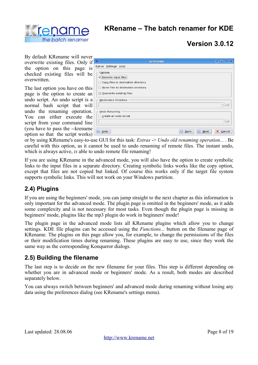

# **Version 3.0.12**

By default KRename will never overwrite existing files. Only if the option on this page is checked existing files will be overwritten.

The last option you have on this page is the option to create an undo script. An undo script is a normal bash script that will undo the renaming operation. You can either execute the script from your command line (you have to pass the --krename option so that the script works)

| Ąв                                                                                                                                                   | krename                              | $\mathbf{?}$<br>$\Box$       |
|------------------------------------------------------------------------------------------------------------------------------------------------------|--------------------------------------|------------------------------|
| Extras Settings Help                                                                                                                                 |                                      |                              |
| Options<br>Rename input files<br>Copy files to destination directory<br>$\circ$<br>○ Move files to destination directory<br>Overwrite existing files |                                      |                              |
| Destination Directory                                                                                                                                |                                      |                              |
|                                                                                                                                                      |                                      | $\overline{\mathbf{v}}$<br>F |
| Undo Renaming                                                                                                                                        |                                      |                              |
| Create an undo script                                                                                                                                |                                      | $\approx$                    |
| $He$ l $p$                                                                                                                                           | $\Omega$<br>Next<br>Q<br><b>Back</b> | Cancel                       |

or by using KRename's easy-to-use GUI for this task: *Extras* -> *Undo old renaming operation...* . Be careful with this option, as it cannot be used to undo renaming of remote files. The instant undo, which is always active, *is* able to undo remote file renaming!

If you are using KRename in the advanced mode, you will also have the option to create symbolic links to the input files in a separate directory. Creating symbolic links works like the copy option, except that files are not copied but linked. Of course this works only if the target file system supports symbolic links. This will not work on your Windows partition.

### **2.4) Plugins**

If you are using the beginners' mode, you can jump straight to the next chapter as this information is only important for the advanced mode. The plugin page is omitted in the beginners' mode, as it adds some complexity and is not necessary for most tasks. Even though the plugin page is missing in beginners' mode, plugins like the mp3 plugin do work in beginners' mode!

The plugin page in the advanced mode lists all KRename plugins which allow you to change settings. KDE file plugins can be accessed using the *Functions...* button on the filename page of KRename. The plugins on this page allow you, for example, to change the permissions of the files or their modification times during renaming. These plugins are easy to use, since they work the same way as the corresponding Konqueror dialogs.

### **2.5) Building the filename**

The last step is to decide on the new filename for your files. This step is different depending on whether you are in advanced mode or beginners' mode. As a result, both modes are described separately below.

You can always switch between beginners' and advanced mode during renaming without losing any data using the preferences dialog (see KRename's settings menu).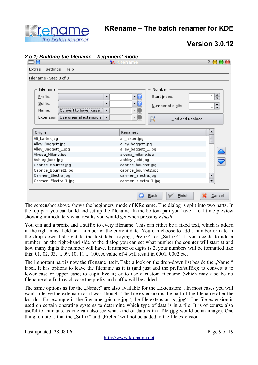

# **Version 3.0.12**

|                                                                                                          | A <sub>B</sub> KRename                  |                                                             |                                                             |
|----------------------------------------------------------------------------------------------------------|-----------------------------------------|-------------------------------------------------------------|-------------------------------------------------------------|
| Settings<br>Help<br>Extras                                                                               |                                         |                                                             |                                                             |
| Filename - Step 3 of 3                                                                                   |                                         |                                                             |                                                             |
| Filename<br>Prefix:<br>Suffix:<br>Convert to lower case<br>Name:<br>Use original extension<br>Extension: | ▼<br>$\overline{\phantom{a}}$<br>▼<br>▼ | Number<br>Start index:<br>Number of digits:<br>$\mathbb{R}$ | $1\left  \frac{1}{r} \right $<br>÷<br>ı<br>Find and Replace |
| Origin                                                                                                   |                                         | Renamed                                                     |                                                             |
|                                                                                                          |                                         |                                                             |                                                             |
| Ali_Larter.jpg                                                                                           |                                         | ali_larter.jpg                                              |                                                             |
| Alley_Baggett.jpg                                                                                        |                                         | alley_baggett.jpg                                           |                                                             |
| Alley_Baggett_1.jpg                                                                                      |                                         | alley_baggett_1.jpg                                         |                                                             |
| Alyssa_Milano.jpg                                                                                        |                                         | alyssa_milano.jpg                                           |                                                             |
| Ashley_Judd.jpg                                                                                          |                                         | ashley_judd.jpg                                             |                                                             |
| Caprice_Bourret.jpg                                                                                      |                                         | caprice_bourret.jpg                                         |                                                             |
| Caprice_Bourret2.jpg                                                                                     |                                         | caprice_bourret2.jpg                                        |                                                             |
| Carmen_Electra.jpg<br>Carmen_Electra_1.jpg                                                               |                                         | carmen_electra.jpg<br>carmen_electra_1.jpg                  |                                                             |

The screenshot above shows the beginners' mode of KRename. The dialog is split into two parts. In the top part you can build and set up the filename. In the bottom part you have a real-time preview showing immediately what results you would get when pressing *Finish*.

You can add a prefix and a suffix to every filename. This can either be a fixed text, which is added in the right most field or a number or the current date. You can choose to add a number or date in the drop down list right to the text label saying "Prefix:" or "Suffix:". If you decide to add a number, on the right-hand side of the dialog you can set what number the counter will start at and how many digits the number will have. If number of digits is 2, your numbers will be formatted like this: 01, 02, 03, ... 09, 10, 11 ... 100. A value of 4 will result in 0001, 0002 etc.

The important part is now the filename itself. Take a look on the drop-down list beside the "Name:" label. It has options to leave the filename as it is (and just add the prefix/suffix); to convert it to lower case or upper case; to capitalize it; or to use a custom filename (which may also be no filename at all). In each case the prefix and suffix will be added.

The same options as for the "Name:" are also available for the "Extension:". In most cases you will want to leave the extension as it was, though. The file extension is the part of the filename after the last dot. For example in the filename "picture.jpg", the file extension is "jpg". The file extension is used on certain operating systems to determine which type of data is in a file. It is of course also useful for humans, as one can also see what kind of data is in a file (jpg would be an image). One thing to note is that the "Suffix" and "Prefix" will not be added to the file extension.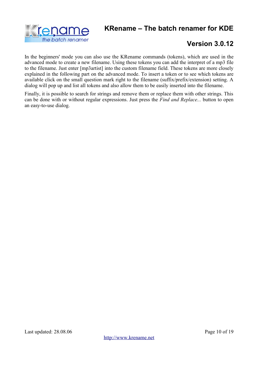



In the beginners' mode you can also use the KRename commands (tokens), which are used in the advanced mode to create a new filename. Using these tokens you can add the interpret of a mp3 file to the filename. Just enter [mp3artist] into the custom filename field. These tokens are more closely explained in the following part on the advanced mode. To insert a token or to see which tokens are available click on the small question mark right to the filename (suffix/prefix/extension) setting. A dialog will pop up and list all tokens and also allow them to be easily inserted into the filename.

Finally, it is possible to search for strings and remove them or replace them with other strings. This can be done with or without regular expressions. Just press the *Find and Replace...* button to open an easy-to-use dialog.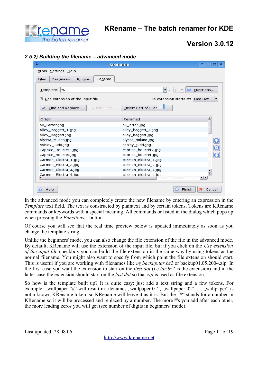

# **Version 3.0.12**

#### *2.5.2) Building the filename – advanced mode*

| Ąв                                          | ?<br>$\Box$ $\times$<br>krename                                       |
|---------------------------------------------|-----------------------------------------------------------------------|
| Extras Settings Help                        |                                                                       |
| Filename<br>Files<br>Destination<br>Plugins |                                                                       |
| Template:<br>9/6                            | $\blacksquare$ .<br>Functions<br>◉<br> \$<br>$\overline{\phantom{a}}$ |
| $\boxtimes$ Use extension of the input file | File extension starts at: Last Dot<br>▼                               |
| Eind and Replace<br>Numbering               | Insert Part of Filer                                                  |
| Origin                                      | Renamed                                                               |
| Ali_Larter.jpg                              | ali_larter.jpg                                                        |
| Alley_Baggett_1.jpg                         | alley_baggett_1.jpg                                                   |
| Alley_Baggett.jpg                           | alley_baggett.jpg                                                     |
| Alyssa_Milano.jpg                           | alyssa_milano.jpg<br>$\mathbf G$                                      |
| Ashley_Judd.jpg                             | ashley_judd.jpg                                                       |
| Caprice_Bourret2.jpg                        | $\overline{\textcolor{black}{\bm{\odot}}}$<br>caprice_bourret2.jpg    |
| Caprice_Bourret.jpg                         | $\overline{\textbf{C}}$<br>caprice_bourret.jpg                        |
| Carmen_Electra_1.jpg                        | carmen_electra_1.jpg                                                  |
| Carmen_Electra_2.jpg                        | carmen_electra_2.jpg                                                  |
| Carmen_Electra_3.jpg                        | carmen_electra_3.jpg<br>▲                                             |
| Carmen Electra 4.ipg<br>mm                  | carmen electra 4.jpg<br>$\leftarrow$                                  |
| $He$ lp                                     | Finish<br>Cancel                                                      |

In the advanced mode you can completely create the new filename by entering an expression in the *Template* text field. The text is constructed by plaintext and by certain tokens. Tokens are KRename commands or keywords with a special meaning. All commands or listed in the dialog which pops up when pressing the *Functions...* button.

Of course you will see that the real time preview below is updated immediately as soon as you change the template string.

Unlike the beginners' mode, you can also change the file extension of the file in the advanced mode. By default, KRename will use the extension of the input file, but if you click on the *Use extension of the input file* checkbox you can build the file extension in the same way by using tokens as the normal filename. You might also want to specify from which point the file extension should start. This is useful if you are working with filenames like *mybackup.tar.bz2* or backup01.05.2004.zip. In the first case you want the extension to start on the *first dot* (i.e *tar.bz2* is the extension) and in the latter case the extension should start on the *last dot* so that *zip* is used as file extension.

So how is the template built up? It is quite easy: just add a text string and a few tokens. For example: "wallpaper ##" will result in filenames "wallpaper 01", "wallpaper 02" ... . "wallpaper" is not a known KRename token, so KRename will leave it as it is. But the "#" stands for a number in KRename so it will be processed and replaced by a number. The more #'s you add after each other, the more leading zeros you will get (see number of digits in beginners' mode).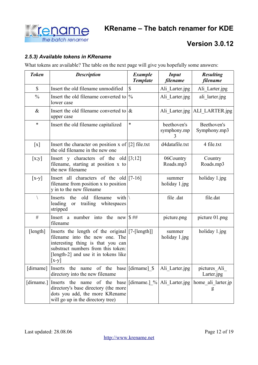

#### *2.5.3) Available tokens in KRename*

What tokens are available? The table on the next page will give you hopefully some answers:

| <b>Token</b>              | <b>Description</b>                                                                                                                                                                                              | <b>Example</b><br><b>Template</b> | <b>Input</b><br>filename        | <b>Resulting</b><br>filename    |
|---------------------------|-----------------------------------------------------------------------------------------------------------------------------------------------------------------------------------------------------------------|-----------------------------------|---------------------------------|---------------------------------|
| $\boldsymbol{\mathsf{S}}$ | Insert the old filename unmodified                                                                                                                                                                              | $\mathbb{S}$                      | Ali Larter.jpg                  | Ali Larter.jpg                  |
| $\frac{0}{0}$             | Insert the old filename converted to $\frac{1}{6}$<br>lower case                                                                                                                                                |                                   | Ali Larter.jpg                  | ali larter.jpg                  |
| $\&$                      | Insert the old filename converted to $\alpha$<br>upper case                                                                                                                                                     |                                   |                                 | Ali_Larter.jpg   ALI_LARTER.jpg |
| $\ast$                    | Insert the old filename capitalized                                                                                                                                                                             | $\ast$                            | beethoven's<br>symphony.mp<br>3 | Beethoven's<br>Symphony.mp3     |
| $\left[ \text{x} \right]$ | Insert the character on position x of [2] file.txt<br>the old filename in the new one                                                                                                                           |                                   | d4datafile.txt                  | 4 file.txt                      |
| [x,y]                     | Insert y characters of the old $[3;12]$<br>filename, starting at position x to<br>the new filename                                                                                                              |                                   | 06Country<br>Roads.mp3          | Country<br>Roads.mp3            |
| $[x-y]$                   | Insert all characters of the old $[7-16]$<br>filename from position x to position<br>y in to the new filename                                                                                                   |                                   | summer<br>holiday 1.jpg         | holiday 1.jpg                   |
| $\setminus$               | old<br>filename<br>the<br>with $\mathcal{N}$<br>Inserts<br>leading<br>trailing whitespaces<br><b>or</b><br>stripped                                                                                             |                                   | file .dat                       | file.dat                        |
| #                         | Insert a number into the new $\frac{1}{3}$ ##<br>filename                                                                                                                                                       |                                   | picture.png                     | picture 01.png                  |
| [length]                  | Inserts the length of the original [7-[length]]<br>filename into the new one. The<br>interesting thing is that you can<br>substract numbers from this token:<br>[length-2] and use it in tokens like<br>$[x-y]$ |                                   | summer<br>holiday 1.jpg         | holiday 1.jpg                   |
| [dirname]                 | Inserts the name of the base [[dirname] \$<br>directory into the new filename                                                                                                                                   |                                   | Ali Larter.jpg                  | pictures Ali<br>Larter.jpg      |
|                           | [dirname.] Inserts the name of the base [[dirname.] % Ali_Larter.jpg   home_ali_larter.jp<br>directory's base directory (the more<br>dots you add, the more KRename<br>will go up in the directory tree)        |                                   |                                 | g                               |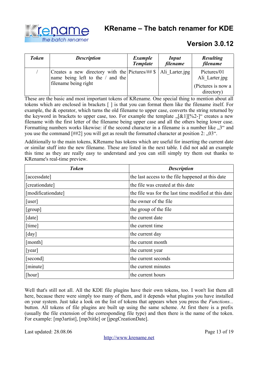



| <b>Token</b> | <b>Description</b>                                                                                        | <b>Example</b><br><b>Template</b> | <b>Input</b><br>filename | <b>Resulting</b><br>filename     |
|--------------|-----------------------------------------------------------------------------------------------------------|-----------------------------------|--------------------------|----------------------------------|
|              | Creates a new directory with the Pictures/ $\#$ \$   Ali Larter.jpg<br>name being left to the $/$ and the |                                   |                          | Pictures/01<br>Ali Larter.jpg    |
|              | filename being right                                                                                      |                                   |                          | (Pictures is now a<br>directory) |

These are the basic and most important tokens of KRename. One special thing to mention about all tokens which are enclosed in brackets [ ] is that you can format them like the filename itself. For example, the & operator, which turns the old filename to upper case, converts the string returned by the keyword in brackets to upper case, too. For example the template  $\sqrt{2}[x_1][\frac{1}{2}]$  creates a new filename with the first letter of the filename being upper case and all the others being lower case. Formatting numbers works likewise: if the second character in a filename is a number like  $\mathcal{F}^{\alpha}$  and you use the command  $[#42]$  you will get as result the formatted character at position 2:  $[0.03]$ .

Additionally to the main tokens, KRename has tokens which are useful for inserting the current date or similar stuff into the new filename. These are listed in the next table. I did not add an example this time as they are really easy to understand and you can still simply try them out thanks to KRename's real-time preview.

| <b>Token</b>               | <b>Description</b>                                   |
|----------------------------|------------------------------------------------------|
| [accessdate]               | the last access to the file happened at this date    |
| [creationdate]             | the file was created at this date                    |
| [modificationdate]         | the file was for the last time modified at this date |
| [user]                     | the owner of the file                                |
| [group]                    | the group of the file                                |
| $\lceil$ date $\rceil$     | the current date                                     |
| [time]                     | the current time                                     |
| $\lceil \text{day} \rceil$ | the current day                                      |
| [month]                    | the current month                                    |
| [year]                     | the current year                                     |
| [second]                   | the current seconds                                  |
| [minute]                   | the current minutes                                  |
| [hour]                     | the current hours                                    |

Well that's still not all. All the KDE file plugins have their own tokens, too. I won't list them all here, because there were simply too many of them, and it depends what plugins you have installed on your system. Just take a look on the list of tokens that appears when you press the *Functions...* button. All tokens of file plugins are built up using the same scheme. At first there is a prefix (usually the file extension of the corresponding file type) and then there is the name of the token. For example: [mp3artist], [mp3title] or [jpegCreationDate].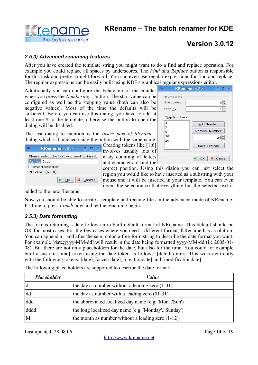

#### *2.5.3) Advanced renaming features*

After you have created the template string you might want to do a find and replace operation. For example you could replace all spaces by underscores. The *Find and Replace* button is responsible for this task and pretty straight forward. You can even use regular expressions for find and replace. The regular expressions can be easily built using KDE's graphical regular expressions editor.

Additionally you can configure the behaviour of the counter when you press the *Numbering...* button. The start value can be configured as well as the stepping value (both can also be negative values). Most of the time the defaults will be sufficient. Before you can use this dialog, you have to add at least one # to the template, otherwise the button to open the dialog will be disabled.

The last dialog to mention is the *Insert part of filename...* dialog which is launched using the button with the same name.

| <b>KRename <math>&lt;2&gt;</math></b>     | U           |
|-------------------------------------------|-------------|
|                                           | 1n'         |
| lease select the text you want to insert: | na          |
| shley Judd                                | an          |
| Invert selection                          | $_{\rm co}$ |
| review: [\$1;6]                           |             |
|                                           | re          |
| $OK$ <b>X</b> Cancel                      |             |

Creating tokens like [1;6] volves usually lots of nasty counting of letters d characters to find the

| Ąв |                                       | ?<br>KRename <2><br>×                       |
|----|---------------------------------------|---------------------------------------------|
|    | Numbering<br>Start index:<br>Step by: | $\div$<br>$\circ$<br>÷<br>1                 |
|    | Skip Numbers<br>4<br>5                | Add Number                                  |
|    | 9<br>18<br>24                         | Remove Number<br>$24 \div$<br>Save Settings |
|    |                                       | OK<br>X Cancel                              |

rrect position. Using this dialog you can just select the gion you would like to have inserted as a substring with your ouse and it will be inserted in your template. You can even invert the selection so that everything but the selected text is

added to the new filename.

Þ Ŀ  $\Box$  $\mathsf{P}$ 

Now you should be able to create a template and rename files in the advanced mode of KRename. It's time to press *Finish* now and let the renaming begin.

#### *2.5.3) Date formatting*

The tokens returning a date follow an in-built default format of KRename. This default should be OK for most cases. For the few cases where you need a different format, KRename has a solution. You can append a *;* and after the semi colon a free-form string to describe the date format you want. For example [date;yyyy-MM-dd] will result in the date being formatted yyyy-MM-dd (i.e 2005-01- 08). But there are not only placeholders for the date, but also for the time. You could for example built a custom [time] token using the date token as follows: [date;hh-mm]. This works currently with the following tokens: [date], [accessdate], [creationdate] and [modificationdate].

| <b>Placeholder</b> | Value                                                |
|--------------------|------------------------------------------------------|
| d                  | the day as number without a leading zero $(1-31)$    |
| dd                 | the day as number with a leading zero $(01-31)$      |
| ddd                | the abbreviated localized day name (e.g. 'Mon''Sun') |
| dddd               | the long localized day name (e.g. 'Monday''Sunday')  |
| M                  | the month as number without a leading zero $(1-12)$  |

The following place holders are supported to describe the date format:

Last updated: 28.08.06 Page 14 of 19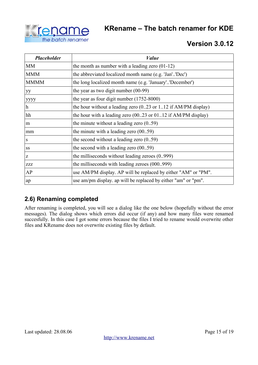



| <b>Placeholder</b> | <i>Value</i>                                                                      |
|--------------------|-----------------------------------------------------------------------------------|
| <b>MM</b>          | the month as number with a leading zero $(01-12)$                                 |
| <b>MMM</b>         | the abbreviated localized month name (e.g. 'Jan''Dec')                            |
| <b>MMMM</b>        | the long localized month name (e.g. 'January''December')                          |
| yy                 | the year as two digit number $(00-99)$                                            |
| уууу               | the year as four digit number $(1752-8000)$                                       |
| $\mathbf h$        | the hour without a leading zero $(0.23 \text{ or } 1.12 \text{ if AM/PM display)$ |
| hh                 | the hour with a leading zero $(0023)$ or $0112$ if AM/PM display)                 |
| m                  | the minute without a leading zero $(059)$                                         |
| mm                 | the minute with a leading zero $(0059)$                                           |
| S                  | the second without a leading zero $(059)$                                         |
| SS                 | the second with a leading zero $(0059)$                                           |
| Z                  | the milliseconds without leading zeroes (0999)                                    |
| <b>ZZZ</b>         | the milliseconds with leading zeroes (000999)                                     |
| AP                 | use AM/PM display. AP will be replaced by either "AM" or "PM".                    |
| ap                 | use am/pm display, ap will be replaced by either "am" or "pm".                    |

### **2.6) Renaming completed**

After renaming is completed, you will see a dialog like the one below (hopefully without the error messages). The dialog shows which errors did occur (if any) and how many files were renamed succesfully. In this case I got some errors because the files I tried to rename would overwrite other files and KRename does not overwrite existing files by default.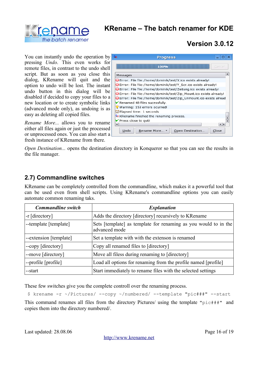



You can instantly undo the operation by pressing *Undo*. This even works for remote files, in contrast to the undo shell script. But as soon as you close this dialog, KRename will quit and the option to undo will be lost. The instant undo button in this dialog will be disabled if decided to copy your files to a new location or to create symbolic links (advanced mode only), as undoing is as easy as deleting all copied files.

*Rename More...* allows you to rename either all files again or just the processed or unprocessed ones. You can also start a fresh instance of KRename from there.

| <b>Progress</b><br>äв                                              |              |  |  |  |
|--------------------------------------------------------------------|--------------|--|--|--|
| 100%                                                               | Cancel       |  |  |  |
| Messages                                                           |              |  |  |  |
| Error: File file:/home/dominik/test/X.ico exists already!          |              |  |  |  |
| Error: File file:/home/dominik/test/Y Scr.ico exists already!      |              |  |  |  |
| Error: File file:/home/dominik/test/Zeitung.ico exists already!    |              |  |  |  |
| Error: File file:/home/dominik/test/Zip_Mount.ico exists already!  |              |  |  |  |
| Serror: File file:/home/dominik/test/Zip_Unmount.ico exists alread |              |  |  |  |
| $\blacktriangleright$ Renamed 48 files sucessfully.                |              |  |  |  |
| Warning: 153 errors ocurred!                                       |              |  |  |  |
| Elapsed time: 1 seconds                                            |              |  |  |  |
| 48 KRename finished the renaming process.                          |              |  |  |  |
| ▶ Press close to quit!                                             |              |  |  |  |
|                                                                    | $\leftarrow$ |  |  |  |
| Undo<br>Rename More ▼<br>Open Destination                          | Close        |  |  |  |

*Open Destination...* opens the destination directory in Konqueror so that you can see the results in the file manager.

#### **2.7) Commandline switches**

KRename can be completely controlled from the commandline, which makes it a powerful tool that can be used even from shell scripts. Using KRename's commandline options you can easily automate common renaming taks.

| <b>Commandline</b> switch | <b>Explanation</b>                                                               |  |
|---------------------------|----------------------------------------------------------------------------------|--|
| $-r$ [directory]          | Adds the directory [directory] recursively to KRename                            |  |
| --template [template]     | Sets [template] as template for renaming as you would to in the<br>advanced mode |  |
| --extension [template]    | Set a template with with the extenson is renamed                                 |  |
| --copy [directory]        | Copy all renamed files to [directory]                                            |  |
| --move [directory]        | Move all filess during renaming to [directory]                                   |  |
| --profile [profile]       | Load all options for renaming from the profile named [profile]                   |  |
| --start                   | Start immediately to rename files with the selected settings                     |  |

These few switches give you the complete controll over the renaming process.

\$ krename -r ~/Pictures/ --copy ~/numbered/ --template "pic###" --start

This command renames all files from the directory Pictures/ using the template "pic###" and copies them into the directory numbered/.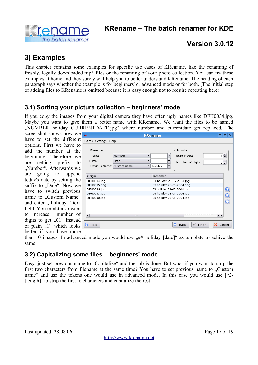

# **3) Examples**

This chapter contains some examples for specific use cases of KRename, like the renaming of freshly, legally downloaded mp3 files or the renaming of your photo collection. You can try these examples at home and they surely will help you to better understand KRename. The heading of each paragraph says whether the example is for beginners' or advanced mode or for both. (The initial step of adding files to KRename is omitted because it is easy enough not to require repeating here).

### **3.1) Sorting your picture collection – beginners' mode**

If you copy the images from your digital camera they have often ugly names like DFH0034.jpg. Maybe you want to give them a better name with KRename. We want the files to be named "NUMBER holiday CURRENTDATE.jpg" where number and currentdate get replaced. The

screenshot shows how we have to set the different options. First we have to add the number at the beginning. Therefore w are setting prefix to "Number". Afterwards w are going to append today's date by setting the suffix to "Date". Now w have to switch previou name to ..Custom Name<sup>®</sup> and enter " holiday " text field. You might also want to increase number of digits to get  $, 01$ " instead of plain  $\overline{N}$ <sup>"</sup> which looks better if you have more

| e             | Ąв<br><b>KRename</b>                                                                          | $\overline{P}$<br>$\Box$ |
|---------------|-----------------------------------------------------------------------------------------------|--------------------------|
| ıt            | Extras Settings Help                                                                          |                          |
| 0             |                                                                                               |                          |
| e             | Number:<br>Filename:                                                                          |                          |
| e             | Number<br>Start index:<br>Prefix:<br>$\overline{\phantom{a}}$<br>▼                            | $1\frac{2}{7}$           |
| 0             | $S$ uffix:<br><b>Date</b><br>$\overline{\phantom{a}}$<br>Number of digits                     | $2\frac{1}{7}$           |
| e             | Previous Name: Custom name<br>holiday<br>$\overline{\phantom{a}}$<br>$\overline{\phantom{a}}$ |                          |
| d             |                                                                                               |                          |
|               | Renamed<br>Origin                                                                             |                          |
| e             | DFH0034.jpg<br>01 holiday 23-05-2004.jpg                                                      |                          |
| e             | 02 holiday 23-05-2004.png<br>DFH0035.png                                                      |                          |
| .S            | 03 holiday 23-05-2004.jpg<br>DFH0036.jpg                                                      | $\mathbf 0$              |
| $\zeta \zeta$ | 04 holiday 23-05-2004.jpg<br>DFH0037.jpg                                                      | $\overline{\mathbf{O}}$  |
|               | 05 holiday 23-05-2004.jpg<br>DFH0038.jpg                                                      |                          |
| ۲t            |                                                                                               |                          |
| ıt            |                                                                                               |                          |
| f             |                                                                                               |                          |
|               | $\overline{4}$<br>H <sub>2</sub>                                                              | $\left  \cdot \right $   |
| d             |                                                                                               |                          |
| <b>S</b>      | $\Theta$<br>×<br>$He$ lp<br>Einish<br><b>Back</b><br>V<br>⋒                                   | Cancel                   |

than 10 images. In advanced mode you would use  $H#$  holiday  $[date]$  as template to achive the same

### **3.2) Capitalizing some files – beginners' mode**

Easy: just set previous name to "Capitalize" and the job is done. But what if you want to strip the first two characters from filename at the same time? You have to set previous name to . Custom name" and use the tokens one would use in advanced mode. In this case you would use [\*2-[length]] to strip the first to characters and capitalize the rest.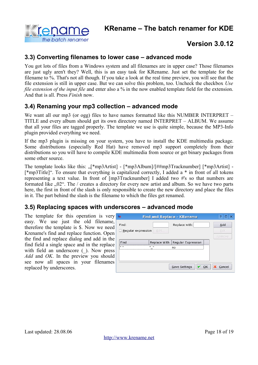

#### **3.3) Converting filenames to lower case – advanced mode**

You got lots of files from a Windows system and all filenames are in upper case? Those filenames are just ugly aren't they? Well, this is an easy task for KRename. Just set the template for the filename to %. That's not all though. If you take a look at the real time preview, you will see that the file extension is still in upper case. But we can solve this problem, too. Uncheck the checkbox *Use file extension of the input file* and enter also a % in the now enabled template field for the extension. And that is all. Press *Finish* now.

#### **3.4) Renaming your mp3 collection – advanced mode**

We want all our mp3 (or ogg) files to have names formatted like this NUMBER INTERPRET – TITLE and every album should get its own directory named INTERPRET – ALBUM. We assume that all your files are tagged properly. The template we use is quite simple, because the MP3-Info plugin provided everything we need.

If the mp3 plugin is missing on your system, you have to install the KDE multimedia package. Some distributions (especially Red Hat) have removed mp3 support completely from their distributions so you will have to compile KDE multimedia from source or get binary packages from some other source.

The template looks like this:  $\sqrt{m}$  mp3Artist] - [\*mp3Album]/[##mp3Tracknumber] [\*mp3Artist] -[\*mp3Title]". To ensure that everything is capitalized correctly, I added a \* in front of all tokens representing a text value. In front of [mp3Tracknumber] I added two #'s so that numbers are formated like ".02". The / creates a directory for every new artist and album. So we have two parts here, the first in front of the slash is only responsible to create the new directory and place the files in it. The part behind the slash is the filename to which the files get renamed.

#### **3.5) Replacing spaces with underscores – advanced mode**

The template for this operation is very easy. We use just the old filename, therefore the template is \$. Now we need Krename's find and replace function. Open the find and replace dialog and add in the find field a single space and in the replace with field an underscore ( $\lambda$ ). Now press *Add* and *OK*. In the preview you should see now all spaces in your filenames replaced by underscores.

| äв                 | <b>Find and Replace - KRename</b> |                                   |              |
|--------------------|-----------------------------------|-----------------------------------|--------------|
| Find:              |                                   | Replace with:                     | Add          |
| Regular expression | Edit                              |                                   | Edit         |
|                    |                                   |                                   | Remove       |
| Find               |                                   | Replace With   Regular Expression |              |
| lin m              | - 11<br><br>no                    |                                   |              |
|                    |                                   |                                   |              |
|                    |                                   |                                   |              |
|                    |                                   | Save Settings                     | Cancel<br>QK |